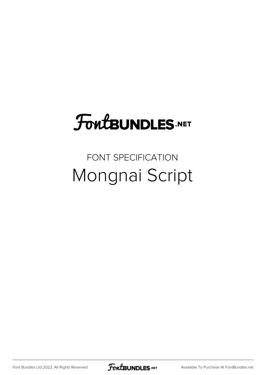# **FoutBUNDLES.NET**

#### FONT SPECIFICATION Mongnai Script

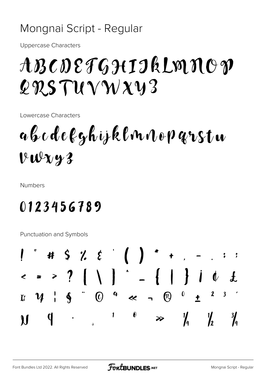#### Mongnai Script - Regular

**Uppercase Characters** 

## ABCDEFGHIIkLMNOP  $QRSTUVWXY3$

Lowercase Characters

abcdefghijklnnoparstu  $VWxy3$ 

**Numbers** 

### 0123456789

**Punctuation and Symbols** 

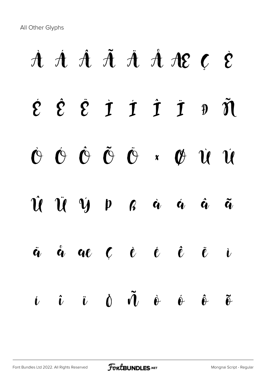All Other Glyphs

# À Á Â Ã Ä Å Æ Ç È  $\dot{\mathcal{E}}$   $\dot{\mathcal{E}}$   $\dot{\mathcal{I}}$   $\dot{\mathcal{I}}$   $\dot{\mathcal{I}}$   $\dot{\mathcal{I}}$   $\dot{\mathcal{I}}$   $\ddot{\mathcal{N}}$  $\dot{O}$   $\dot{O}$   $\ddot{O}$   $\ddot{O}$   $\ddot{O}$   $\ddot{O}$   $\ddot{O}$   $\ddot{O}$   $\ddot{O}$   $\ddot{O}$   $\ddot{O}$   $\ddot{O}$   $\ddot{O}$   $\ddot{O}$   $\ddot{O}$   $\ddot{O}$   $\ddot{O}$   $\ddot{O}$   $\ddot{O}$   $\ddot{O}$   $\ddot{O}$   $\ddot{O}$   $\ddot{O}$   $\ddot{O}$   $\ddot{O}$ Û Ü Ý Þ ß à á â ã ä å æ ç è é ê ë ì  $\begin{array}{ccc} \hat{\mathbf{L}} & \hat{\mathbf{U}} & \hat{\mathbf{U}} & \hat{\mathbf{U}} & \hat{\mathbf{U}} & \hat{\mathbf{U}} & \hat{\mathbf{U}} & \hat{\mathbf{U}} & \hat{\mathbf{U}} & \hat{\mathbf{U}} & \hat{\mathbf{U}} & \hat{\mathbf{U}} & \hat{\mathbf{U}} & \hat{\mathbf{U}} & \hat{\mathbf{U}} & \hat{\mathbf{U}} & \hat{\mathbf{U}} & \hat{\mathbf{U}} & \hat{\mathbf{U}} & \hat{\mathbf{U}} & \hat{\mathbf{U}} & \hat{\mathbf{U}} & \hat{\mathbf{U}} & \hat{\mathbf{$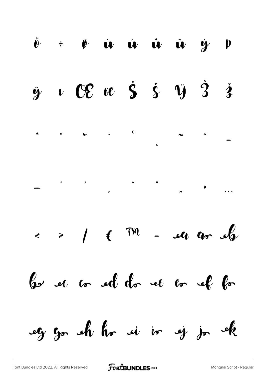$\ddot{\theta}$   $\div$   $\theta$   $\dot{\theta}$   $\dot{\theta}$   $\dot{\theta}$   $\dot{\theta}$   $\ddot{\theta}$  $\dot{y}$   $p$  $\upsilon$  OE oc  $\dot{S}$   $\dot{\zeta}$   $\ddot{y}$   $\dot{3}$   $\dot{3}$  $\ddot{\mathbf{y}}$  $\leftarrow$  >  $\leftarrow$  (  $\sqrt{m}$  - eq qu eft have not and do see or all for eg go eh ho ei io ej jo ek